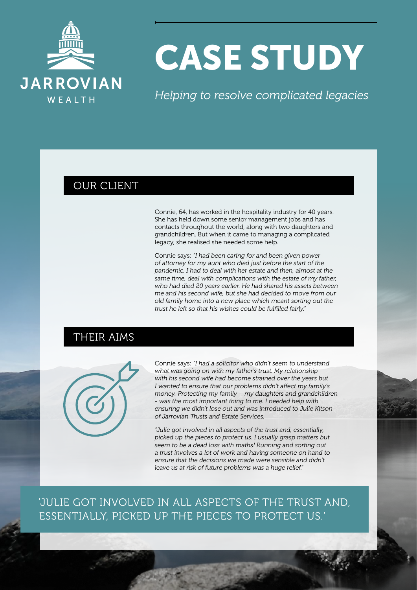

# CASE STUDY

*Helping to resolve complicated legacies*

#### OUR CLIENT

Connie, 64, has worked in the hospitality industry for 40 years. She has held down some senior management jobs and has contacts throughout the world, along with two daughters and grandchildren. But when it came to managing a complicated legacy, she realised she needed some help.

Connie says: *"I had been caring for and been given power of attorney for my aunt who died just before the start of the pandemic. I had to deal with her estate and then, almost at the same time, deal with complications with the estate of my father, who had died 20 years earlier. He had shared his assets between me and his second wife, but she had decided to move from our old family home into a new place which meant sorting out the trust he left so that his wishes could be fulfilled fairly."*

## THEIR AIMS



Connie says: *"I had a solicitor who didn't seem to understand what was going on with my father's trust. My relationship with his second wife had become strained over the years but I wanted to ensure that our problems didn't affect my family's money. Protecting my family – my daughters and grandchildren - was the most important thing to me. I needed help with ensuring we didn't lose out and was introduced to Julie Kitson of Jarrovian Trusts and Estate Services.*

*"Julie got involved in all aspects of the trust and, essentially, picked up the pieces to protect us. I usually grasp matters but seem to be a dead loss with maths! Running and sorting out a trust involves a lot of work and having someone on hand to ensure that the decisions we made were sensible and didn't leave us at risk of future problems was a huge relief."*

'JULIE GOT INVOLVED IN ALL ASPECTS OF THE TRUST AND, ESSENTIALLY, PICKED UP THE PIECES TO PROTECT US.'